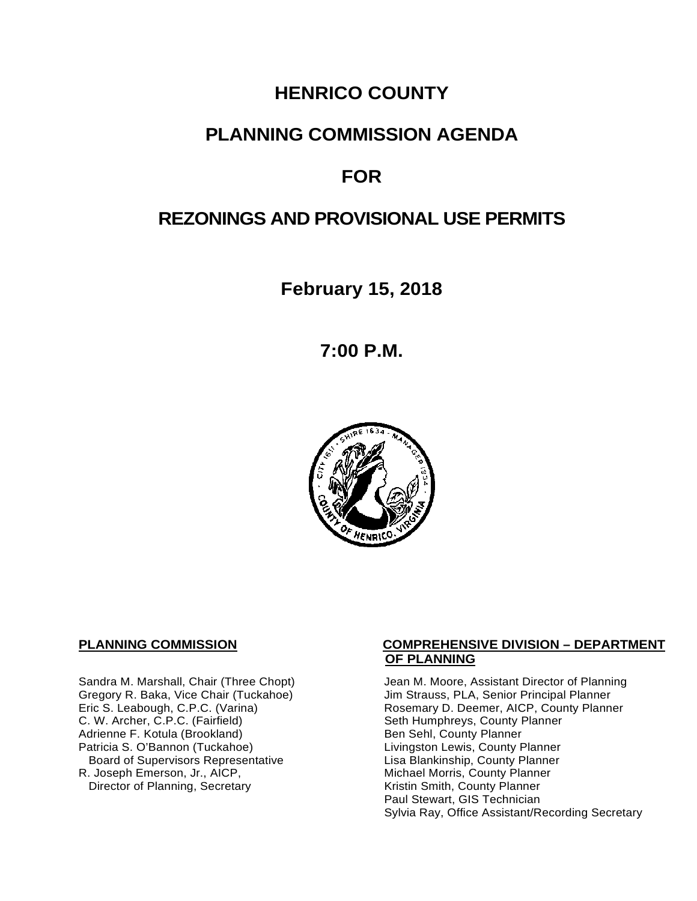# **HENRICO COUNTY**

## **PLANNING COMMISSION AGENDA**

# **FOR**

# **REZONINGS AND PROVISIONAL USE PERMITS**

**February 15, 2018**

**7:00 P.M.**



C. W. Archer, C.P.C. (Fairfield) Seth Humphreys, County I<br>Adrienne F. Kotula (Brookland) Seth Sehl, County Planner Adrienne F. Kotula (Brookland)<br>Patricia S. O'Bannon (Tuckahoe) Board of Supervisors Representative Lisa Blankinship, County Planner<br>R. Joseph Emerson, Jr., AICP, Michael Morris, County Planner Director of Planning, Secretary

#### **PLANNING COMMISSION COMPREHENSIVE DIVISION – DEPARTMENT OF PLANNING**

Sandra M. Marshall, Chair (Three Chopt) Jean M. Moore, Assistant Director of Planning<br>Gregory R. Baka, Vice Chair (Tuckahoe) Jim Strauss, PLA, Senior Principal Planner Gregory R. Baka, Vice Chair (Tuckahoe) Jim Strauss, PLA, Senior Principal Planner<br>
Eric S. Leabough, C.P.C. (Varina) Sand Brown Rosemary D. Deemer, AICP, County Planner Rosemary D. Deemer, AICP, County Planner<br>Seth Humphreys, County Planner Livingston Lewis, County Planner Michael Morris, County Planner<br>Kristin Smith, County Planner Paul Stewart, GIS Technician Sylvia Ray, Office Assistant/Recording Secretary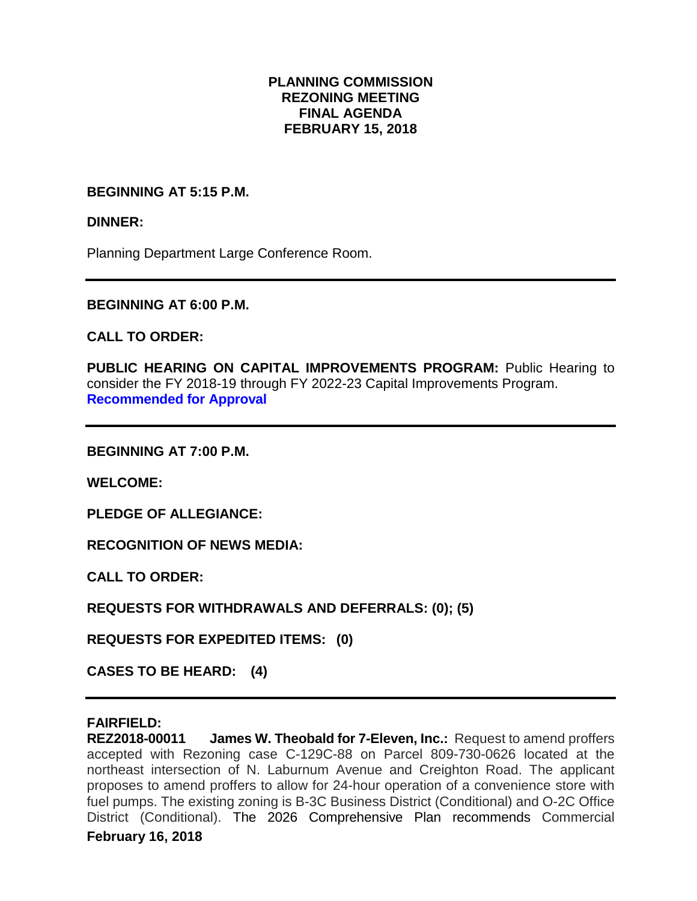#### **PLANNING COMMISSION REZONING MEETING FINAL AGENDA FEBRUARY 15, 2018**

#### **BEGINNING AT 5:15 P.M.**

#### **DINNER:**

Planning Department Large Conference Room.

#### **BEGINNING AT 6:00 P.M.**

#### **CALL TO ORDER:**

**PUBLIC HEARING ON CAPITAL IMPROVEMENTS PROGRAM: Public Hearing to** consider the FY 2018-19 through FY 2022-23 Capital Improvements Program. **Recommended for Approval**

**BEGINNING AT 7:00 P.M.**

**WELCOME:**

**PLEDGE OF ALLEGIANCE:**

**RECOGNITION OF NEWS MEDIA:**

**CALL TO ORDER:**

**REQUESTS FOR WITHDRAWALS AND DEFERRALS: (0); (5)**

**REQUESTS FOR EXPEDITED ITEMS: (0)**

**CASES TO BE HEARD: (4)**

**FAIRFIELD: James W. Theobald for 7-Eleven, Inc.:** Request to amend proffers accepted with Rezoning case C-129C-88 on Parcel 809-730-0626 located at the northeast intersection of N. Laburnum Avenue and Creighton Road. The applicant proposes to amend proffers to allow for 24-hour operation of a convenience store with fuel pumps. The existing zoning is B-3C Business District (Conditional) and O-2C Office District (Conditional). The 2026 Comprehensive Plan recommends Commercial

#### **February 16, 2018**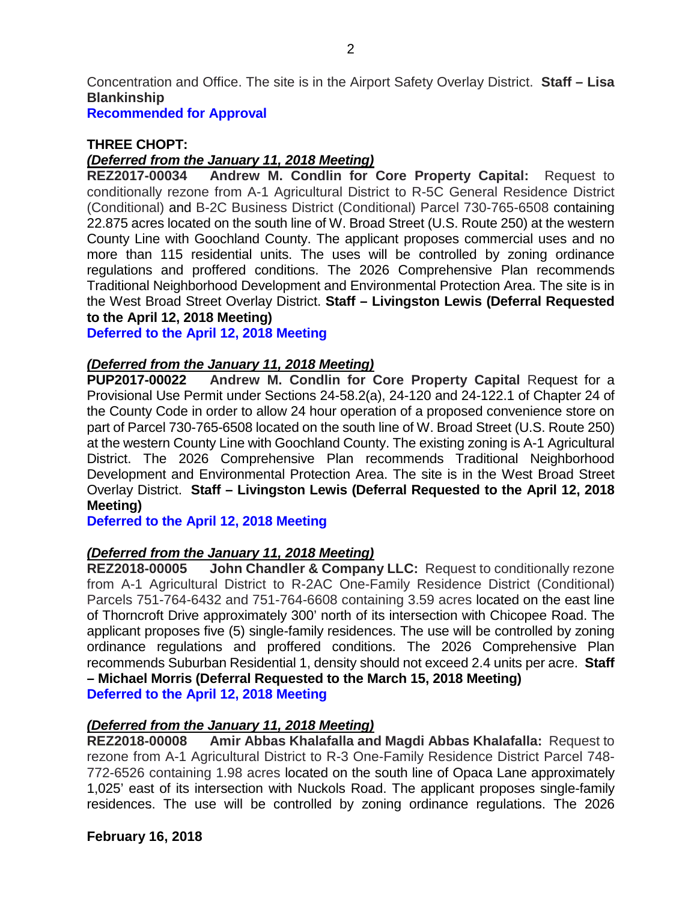Concentration and Office. The site is in the Airport Safety Overlay District. **Staff – Lisa Blankinship**

**Recommended for Approval**

### **THREE CHOPT:**

#### *(Deferred from the January 11, 2018 Meeting)*

**REZ2017-00034 Andrew M. Condlin for Core Property Capital:** Request to conditionally rezone from A-1 Agricultural District to R-5C General Residence District (Conditional) and B-2C Business District (Conditional) Parcel 730-765-6508 containing 22.875 acres located on the south line of W. Broad Street (U.S. Route 250) at the western County Line with Goochland County. The applicant proposes commercial uses and no more than 115 residential units. The uses will be controlled by zoning ordinance regulations and proffered conditions. The 2026 Comprehensive Plan recommends Traditional Neighborhood Development and Environmental Protection Area. The site is in the West Broad Street Overlay District. **Staff – Livingston Lewis (Deferral Requested to the April 12, 2018 Meeting)**

**Deferred to the April 12, 2018 Meeting**

#### *(Deferred from the January 11, 2018 Meeting)*

**PUP2017-00022 Andrew M. Condlin for Core Property Capital** Request for a Provisional Use Permit under Sections 24-58.2(a), 24-120 and 24-122.1 of Chapter 24 of the County Code in order to allow 24 hour operation of a proposed convenience store on part of Parcel 730-765-6508 located on the south line of W. Broad Street (U.S. Route 250) at the western County Line with Goochland County. The existing zoning is A-1 Agricultural District. The 2026 Comprehensive Plan recommends Traditional Neighborhood Development and Environmental Protection Area. The site is in the West Broad Street Overlay District. **Staff – Livingston Lewis (Deferral Requested to the April 12, 2018 Meeting)**

**Deferred to the April 12, 2018 Meeting**

#### *(Deferred from the January 11, 2018 Meeting)*

**REZ2018-00005 John Chandler & Company LLC:** Request to conditionally rezone from A-1 Agricultural District to R-2AC One-Family Residence District (Conditional) Parcels 751-764-6432 and 751-764-6608 containing 3.59 acres located on the east line of Thorncroft Drive approximately 300' north of its intersection with Chicopee Road. The applicant proposes five (5) single-family residences. The use will be controlled by zoning ordinance regulations and proffered conditions. The 2026 Comprehensive Plan recommends Suburban Residential 1, density should not exceed 2.4 units per acre. **Staff – Michael Morris (Deferral Requested to the March 15, 2018 Meeting) Deferred to the April 12, 2018 Meeting**

# *(Deferred from the January 11, 2018 Meeting)*

**Amir Abbas Khalafalla and Magdi Abbas Khalafalla: Request to** rezone from A-1 Agricultural District to R-3 One-Family Residence District Parcel 748- 772-6526 containing 1.98 acres located on the south line of Opaca Lane approximately 1,025' east of its intersection with Nuckols Road. The applicant proposes single-family residences. The use will be controlled by zoning ordinance regulations. The 2026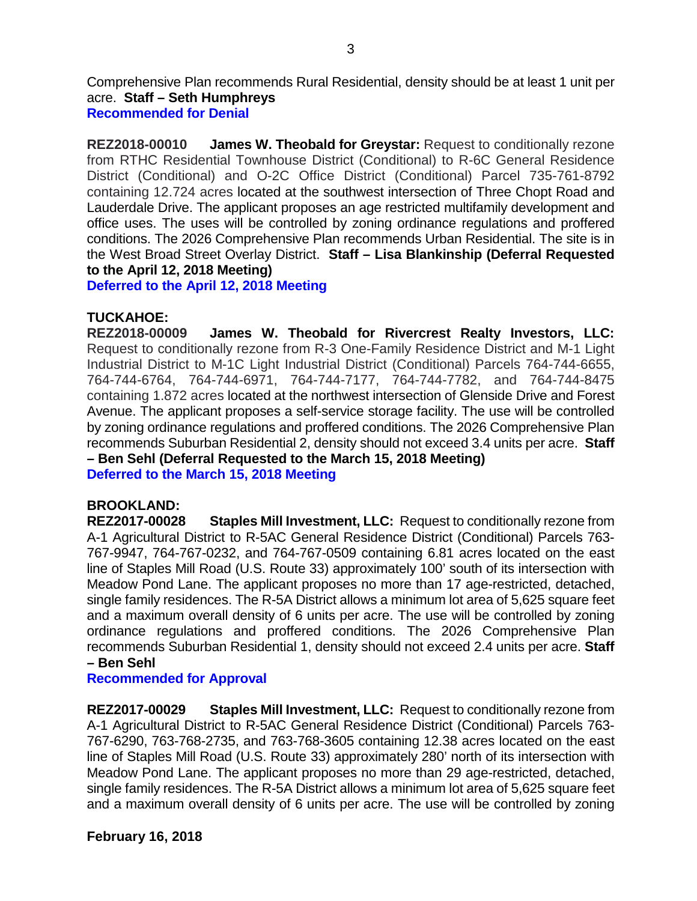Comprehensive Plan recommends Rural Residential, density should be at least 1 unit per acre. **Staff – Seth Humphreys Recommended for Denial**

**REZ2018-00010 James W. Theobald for Greystar:** Request to conditionally rezone from RTHC Residential Townhouse District (Conditional) to R-6C General Residence District (Conditional) and O-2C Office District (Conditional) Parcel 735-761-8792 containing 12.724 acres located at the southwest intersection of Three Chopt Road and Lauderdale Drive. The applicant proposes an age restricted multifamily development and office uses. The uses will be controlled by zoning ordinance regulations and proffered conditions. The 2026 Comprehensive Plan recommends Urban Residential. The site is in the West Broad Street Overlay District. **Staff – Lisa Blankinship (Deferral Requested to the April 12, 2018 Meeting)**

**Deferred to the April 12, 2018 Meeting**

#### **TUCKAHOE:**

**REZ2018-00009 James W. Theobald for Rivercrest Realty Investors, LLC:** Request to conditionally rezone from R-3 One-Family Residence District and M-1 Light Industrial District to M-1C Light Industrial District (Conditional) Parcels 764-744-6655, 764-744-6764, 764-744-6971, 764-744-7177, 764-744-7782, and 764-744-8475 containing 1.872 acres located at the northwest intersection of Glenside Drive and Forest Avenue. The applicant proposes a self-service storage facility. The use will be controlled by zoning ordinance regulations and proffered conditions. The 2026 Comprehensive Plan recommends Suburban Residential 2, density should not exceed 3.4 units per acre. **Staff – Ben Sehl (Deferral Requested to the March 15, 2018 Meeting) Deferred to the March 15, 2018 Meeting**

#### **BROOKLAND:**

**REZ2017-00028 Staples Mill Investment, LLC:** Request to conditionally rezone from A-1 Agricultural District to R-5AC General Residence District (Conditional) Parcels 763- 767-9947, 764-767-0232, and 764-767-0509 containing 6.81 acres located on the east line of Staples Mill Road (U.S. Route 33) approximately 100' south of its intersection with Meadow Pond Lane. The applicant proposes no more than 17 age-restricted, detached, single family residences. The R-5A District allows a minimum lot area of 5,625 square feet and a maximum overall density of 6 units per acre. The use will be controlled by zoning ordinance regulations and proffered conditions. The 2026 Comprehensive Plan recommends Suburban Residential 1, density should not exceed 2.4 units per acre. **Staff – Ben Sehl**

#### **Recommended for Approval**

**REZ2017-00029 Staples Mill Investment, LLC:** Request to conditionally rezone from A-1 Agricultural District to R-5AC General Residence District (Conditional) Parcels 763- 767-6290, 763-768-2735, and 763-768-3605 containing 12.38 acres located on the east line of Staples Mill Road (U.S. Route 33) approximately 280' north of its intersection with Meadow Pond Lane. The applicant proposes no more than 29 age-restricted, detached, single family residences. The R-5A District allows a minimum lot area of 5,625 square feet and a maximum overall density of 6 units per acre. The use will be controlled by zoning